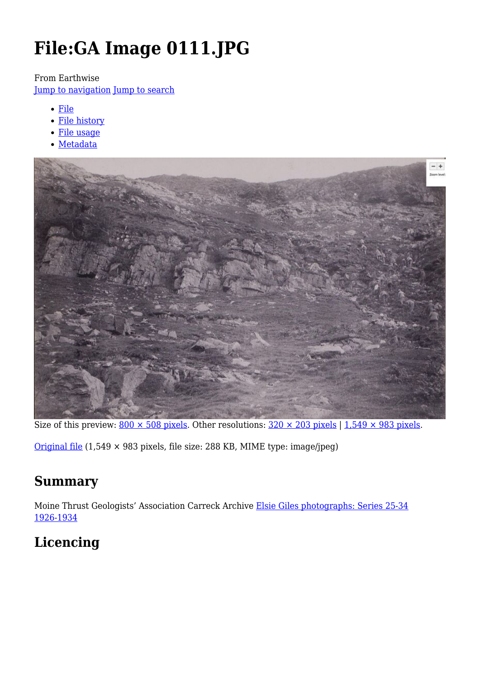# **File:GA Image 0111.JPG**

From Earthwise

[Jump to navigation](#page--1-0) [Jump to search](#page--1-0)

- [File](#page--1-0)
- [File history](#page--1-0)
- [File usage](#page--1-0)
- [Metadata](#page--1-0)



Size of this preview:  $800 \times 508$  pixels. Other resolutions:  $320 \times 203$  pixels | 1,549  $\times$  983 pixels.

[Original file](http://earthwise.bgs.ac.uk/images/e/ec/GA_Image_0111.JPG) (1,549 × 983 pixels, file size: 288 KB, MIME type: image/jpeg)

# **Summary**

Moine Thrust Geologists' Association Carreck Archive [Elsie Giles photographs: Series 25-34](http://pubs.bgs.ac.uk/publications.html?pubID=GA148#v=d&z=2&n=5&i=GA148_0039.jp2&y=366&x=358) [1926-1934](http://pubs.bgs.ac.uk/publications.html?pubID=GA148#v=d&z=2&n=5&i=GA148_0039.jp2&y=366&x=358)

# **Licencing**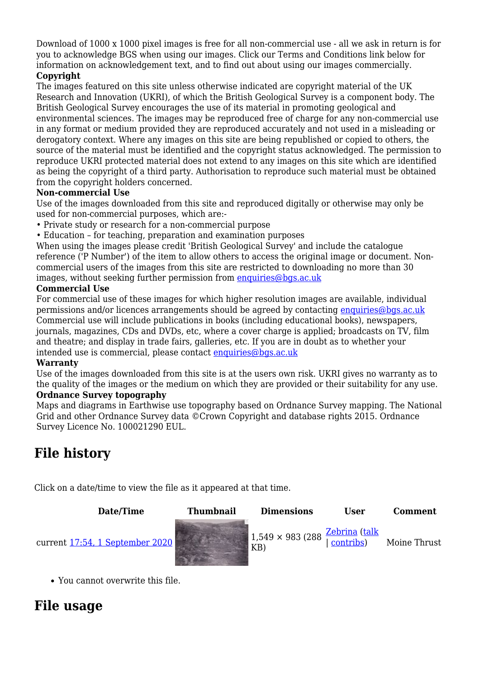Download of 1000 x 1000 pixel images is free for all non-commercial use - all we ask in return is for you to acknowledge BGS when using our images. Click our Terms and Conditions link below for information on acknowledgement text, and to find out about using our images commercially.

#### **Copyright**

The images featured on this site unless otherwise indicated are copyright material of the UK Research and Innovation (UKRI), of which the British Geological Survey is a component body. The British Geological Survey encourages the use of its material in promoting geological and environmental sciences. The images may be reproduced free of charge for any non-commercial use in any format or medium provided they are reproduced accurately and not used in a misleading or derogatory context. Where any images on this site are being republished or copied to others, the source of the material must be identified and the copyright status acknowledged. The permission to reproduce UKRI protected material does not extend to any images on this site which are identified as being the copyright of a third party. Authorisation to reproduce such material must be obtained from the copyright holders concerned.

#### **Non-commercial Use**

Use of the images downloaded from this site and reproduced digitally or otherwise may only be used for non-commercial purposes, which are:-

- Private study or research for a non-commercial purpose
- Education for teaching, preparation and examination purposes

When using the images please credit 'British Geological Survey' and include the catalogue reference ('P Number') of the item to allow others to access the original image or document. Noncommercial users of the images from this site are restricted to downloading no more than 30 images, without seeking further permission from [enquiries@bgs.ac.uk](mailto:enquiries@bgs.ac.uk)

#### **Commercial Use**

For commercial use of these images for which higher resolution images are available, individual permissions and/or licences arrangements should be agreed by contacting [enquiries@bgs.ac.uk](mailto:enquiries@bgs.ac.uk) Commercial use will include publications in books (including educational books), newspapers, journals, magazines, CDs and DVDs, etc, where a cover charge is applied; broadcasts on TV, film and theatre; and display in trade fairs, galleries, etc. If you are in doubt as to whether your intended use is commercial, please contact [enquiries@bgs.ac.uk](mailto:enquiries@bgs.ac.uk)

#### **Warranty**

Use of the images downloaded from this site is at the users own risk. UKRI gives no warranty as to the quality of the images or the medium on which they are provided or their suitability for any use. **Ordnance Survey topography**

Maps and diagrams in Earthwise use topography based on Ordnance Survey mapping. The National Grid and other Ordnance Survey data ©Crown Copyright and database rights 2015. Ordnance Survey Licence No. 100021290 EUL.

# **File history**

Click on a date/time to view the file as it appeared at that time.

#### **Date/Time Thumbnail Dimensions User Comment** current [17:54, 1 September 2020](http://earthwise.bgs.ac.uk/images/e/ec/GA_Image_0111.JPG) 1,549 × 983 (288 KB) [Zebrina](http://earthwise.bgs.ac.uk/index.php?title=User:Zebrina&action=edit&redlink=1) ([talk](http://earthwise.bgs.ac.uk/index.php?title=User_talk:Zebrina&action=edit&redlink=1) | [contribs\)](http://earthwise.bgs.ac.uk/index.php/Special:Contributions/Zebrina) Moine Thrust

You cannot overwrite this file.

# **File usage**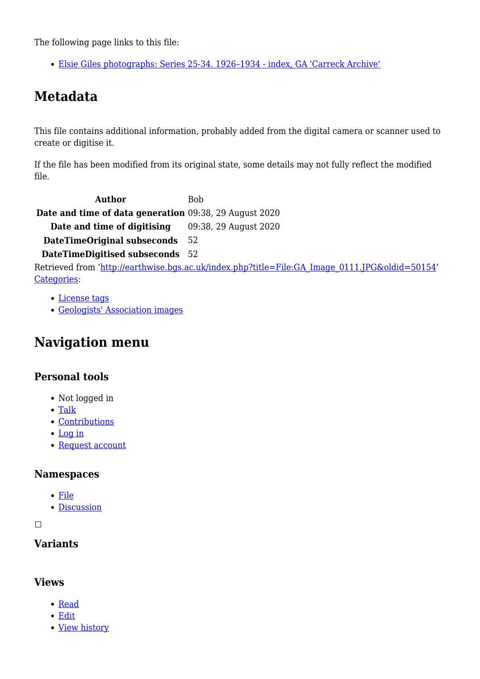The following page links to this file:

[Elsie Giles photographs: Series 25-34. 1926–1934 - index, GA 'Carreck Archive'](http://earthwise.bgs.ac.uk/index.php/Elsie_Giles_photographs:_Series_25-34._1926%E2%80%931934_-_index,_GA_%27Carreck_Archive%27)

# **Metadata**

This file contains additional information, probably added from the digital camera or scanner used to create or digitise it.

If the file has been modified from its original state, some details may not fully reflect the modified file.

**Author** Bob **Date and time of data generation** 09:38, 29 August 2020 **Date and time of digitising** 09:38, 29 August 2020 **DateTimeOriginal subseconds** 52

**DateTimeDigitised subseconds** 52

Retrieved from ['http://earthwise.bgs.ac.uk/index.php?title=File:GA\\_Image\\_0111.JPG&oldid=50154](http://earthwise.bgs.ac.uk/index.php?title=File:GA_Image_0111.JPG&oldid=50154)' [Categories:](http://earthwise.bgs.ac.uk/index.php/Special:Categories)

- [License tags](http://earthwise.bgs.ac.uk/index.php/Category:License_tags)
- [Geologists' Association images](http://earthwise.bgs.ac.uk/index.php/Category:Geologists%27_Association_images)

### **Navigation menu**

### **Personal tools**

- Not logged in
- [Talk](http://earthwise.bgs.ac.uk/index.php/Special:MyTalk)
- [Contributions](http://earthwise.bgs.ac.uk/index.php/Special:MyContributions)
- [Log in](http://earthwise.bgs.ac.uk/index.php?title=Special:UserLogin&returnto=File%3AGA+Image+0111.JPG&returntoquery=action%3Dmpdf)
- [Request account](http://earthwise.bgs.ac.uk/index.php/Special:RequestAccount)

### **Namespaces**

- [File](http://earthwise.bgs.ac.uk/index.php/File:GA_Image_0111.JPG)
- [Discussion](http://earthwise.bgs.ac.uk/index.php?title=File_talk:GA_Image_0111.JPG&action=edit&redlink=1)

 $\Box$ 

### **Variants**

### **Views**

- [Read](http://earthwise.bgs.ac.uk/index.php/File:GA_Image_0111.JPG)
- [Edit](http://earthwise.bgs.ac.uk/index.php?title=File:GA_Image_0111.JPG&action=edit)
- [View history](http://earthwise.bgs.ac.uk/index.php?title=File:GA_Image_0111.JPG&action=history)